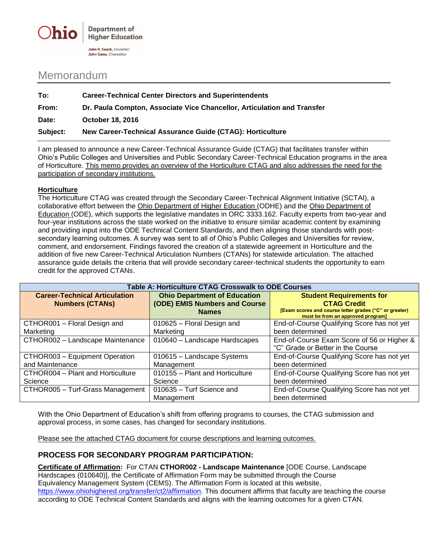

## Memorandum

| To:      | <b>Career-Technical Center Directors and Superintendents</b>            |  |
|----------|-------------------------------------------------------------------------|--|
| From:    | Dr. Paula Compton, Associate Vice Chancellor, Articulation and Transfer |  |
| Date:    | <b>October 18, 2016</b>                                                 |  |
| Subject: | New Career-Technical Assurance Guide (CTAG): Horticulture               |  |

I am pleased to announce a new Career-Technical Assurance Guide (CTAG) that facilitates transfer within Ohio's Public Colleges and Universities and Public Secondary Career-Technical Education programs in the area of Horticulture. This memo provides an overview of the Horticulture CTAG and also addresses the need for the participation of secondary institutions.

## **Horticulture**

The Horticulture CTAG was created through the Secondary Career-Technical Alignment Initiative (SCTAI), a collaborative effort between the Ohio Department of Higher Education (ODHE) and the Ohio Department of Education (ODE), which supports the legislative mandates in ORC 3333.162. Faculty experts from two-year and four-year institutions across the state worked on the initiative to ensure similar academic content by examining and providing input into the ODE Technical Content Standards, and then aligning those standards with postsecondary learning outcomes. A survey was sent to all of Ohio's Public Colleges and Universities for review, comment, and endorsement. Findings favored the creation of a statewide agreement in Horticulture and the addition of five new Career-Technical Articulation Numbers (CTANs) for statewide articulation. The attached assurance guide details the criteria that will provide secondary career-technical students the opportunity to earn credit for the approved CTANs.

| Table A: Horticulture CTAG Crosswalk to ODE Courses |                                     |                                                                                             |  |  |
|-----------------------------------------------------|-------------------------------------|---------------------------------------------------------------------------------------------|--|--|
| <b>Career-Technical Articulation</b>                | <b>Ohio Department of Education</b> | <b>Student Requirements for</b>                                                             |  |  |
| <b>Numbers (CTANs)</b>                              | (ODE) EMIS Numbers and Course       | <b>CTAG Credit</b>                                                                          |  |  |
|                                                     | <b>Names</b>                        | [Exam scores and course letter grades ("C" or greater)<br>must be from an approved program] |  |  |
| CTHOR001 - Floral Design and                        | 010625 - Floral Design and          | End-of-Course Qualifying Score has not yet                                                  |  |  |
| Marketing                                           | Marketing                           | been determined                                                                             |  |  |
| CTHOR002 - Landscape Maintenance                    | 010640 - Landscape Hardscapes       | End-of-Course Exam Score of 56 or Higher &                                                  |  |  |
|                                                     |                                     | "C" Grade or Better in the Course                                                           |  |  |
| CTHOR003 - Equipment Operation                      | 010615 - Landscape Systems          | End-of-Course Qualifying Score has not yet                                                  |  |  |
| and Maintenance                                     | Management                          | been determined                                                                             |  |  |
| CTHOR004 - Plant and Horticulture                   | 010155 - Plant and Horticulture     | End-of-Course Qualifying Score has not yet                                                  |  |  |
| Science                                             | Science                             | been determined                                                                             |  |  |
| CTHOR005 - Turf-Grass Management                    | 010635 - Turf Science and           | End-of-Course Qualifying Score has not yet                                                  |  |  |
|                                                     | Management                          | been determined                                                                             |  |  |

With the Ohio Department of Education's shift from offering programs to courses, the CTAG submission and approval process, in some cases, has changed for secondary institutions.

Please see the attached CTAG document for course descriptions and learning outcomes.

## **PROCESS FOR SECONDARY PROGRAM PARTICIPATION:**

**Certificate of Affirmation:** For CTAN **CTHOR002 - Landscape Maintenance** [ODE Course, Landscape Hardscapes (010640)], the Certificate of Affirmation Form may be submitted through the Course Equivalency Management System (CEMS). The Affirmation Form is located at this website, [https://www.ohiohighered.org/transfer/ct2/affirmation.](https://www.ohiohighered.org/transfer/ct2/affirmation) This document affirms that faculty are teaching the course according to ODE Technical Content Standards and aligns with the learning outcomes for a given CTAN.